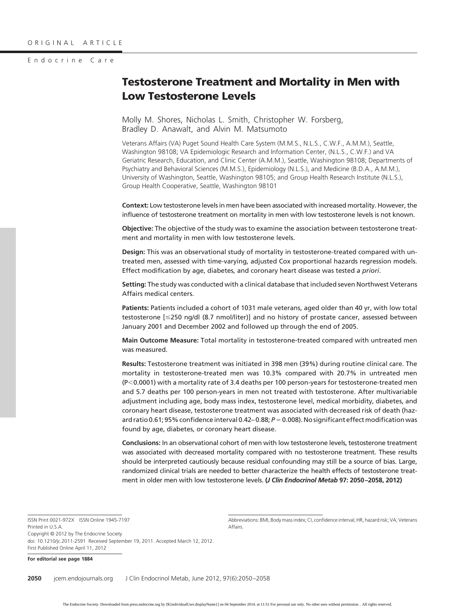#### Endocrine Care

# **Testosterone Treatment and Mortality in Men with Low Testosterone Levels**

Molly M. Shores, Nicholas L. Smith, Christopher W. Forsberg, Bradley D. Anawalt, and Alvin M. Matsumoto

Veterans Affairs (VA) Puget Sound Health Care System (M.M.S., N.L.S., C.W.F., A.M.M.), Seattle, Washington 98108; VA Epidemiologic Research and Information Center, (N.L.S., C.W.F.) and VA Geriatric Research, Education, and Clinic Center (A.M.M.), Seattle, Washington 98108; Departments of Psychiatry and Behavioral Sciences (M.M.S.), Epidemiology (N.L.S.), and Medicine (B.D.A., A.M.M.), University of Washington, Seattle, Washington 98105; and Group Health Research Institute (N.L.S.), Group Health Cooperative, Seattle, Washington 98101

**Context:** Low testosterone levels in men have been associated with increased mortality. However, the influence of testosterone treatment on mortality in men with low testosterone levels is not known.

**Objective:** The objective of the study was to examine the association between testosterone treatment and mortality in men with low testosterone levels.

**Design:** This was an observational study of mortality in testosterone-treated compared with untreated men, assessed with time-varying, adjusted Cox proportional hazards regression models. Effect modification by age, diabetes, and coronary heart disease was tested *a priori*.

**Setting:** The study was conducted with a clinical database that included seven Northwest Veterans Affairs medical centers.

**Patients:** Patients included a cohort of 1031 male veterans, aged older than 40 yr, with low total testosterone [250 ng/dl (8.7 nmol/liter)] and no history of prostate cancer, assessed between January 2001 and December 2002 and followed up through the end of 2005.

**Main Outcome Measure:** Total mortality in testosterone-treated compared with untreated men was measured.

**Results:** Testosterone treatment was initiated in 398 men (39%) during routine clinical care. The mortality in testosterone-treated men was 10.3% compared with 20.7% in untreated men  $(P<0.0001)$  with a mortality rate of 3.4 deaths per 100 person-years for testosterone-treated men and 5.7 deaths per 100 person-years in men not treated with testosterone. After multivariable adjustment including age, body mass index, testosterone level, medical morbidity, diabetes, and coronary heart disease, testosterone treatment was associated with decreased risk of death (hazard ratio 0.61; 95% confidence interval 0.42–0.88; *P* = 0.008). No significant effect modification was found by age, diabetes, or coronary heart disease.

**Conclusions:** In an observational cohort of men with low testosterone levels, testosterone treatment was associated with decreased mortality compared with no testosterone treatment. These results should be interpreted cautiously because residual confounding may still be a source of bias. Large, randomized clinical trials are needed to better characterize the health effects of testosterone treatment in older men with low testosterone levels. **(***J Clin Endocrinol Metab* **97: 2050 –2058, 2012)**

ISSN Print 0021-972X ISSN Online 1945-7197 Printed in U.S.A. Copyright © 2012 by The Endocrine Society doi: 10.1210/jc.2011-2591 Received September 19, 2011. Accepted March 12, 2012. First Published Online April 11, 2012

Abbreviations: BMI, Body mass index; CI, confidence interval; HR, hazard risk; VA, Veterans Affairs.

**For editorial see page 1884**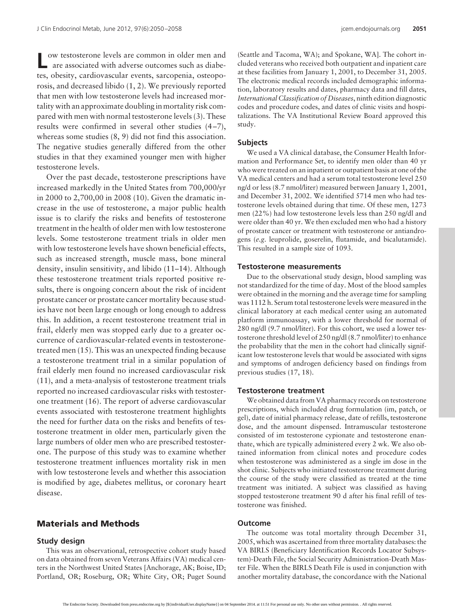ow testosterone levels are common in older men and are associated with adverse outcomes such as diabetes, obesity, cardiovascular events, sarcopenia, osteoporosis, and decreased libido (1, 2). We previously reported that men with low testosterone levels had increased mortality with an approximate doubling in mortality risk compared with men with normal testosterone levels (3). These results were confirmed in several other studies (4 –7), whereas some studies (8, 9) did not find this association. The negative studies generally differed from the other studies in that they examined younger men with higher testosterone levels.

Over the past decade, testosterone prescriptions have increased markedly in the United States from 700,000/yr in 2000 to 2,700,00 in 2008 (10). Given the dramatic increase in the use of testosterone, a major public health issue is to clarify the risks and benefits of testosterone treatment in the health of older men with low testosterone levels. Some testosterone treatment trials in older men with low testosterone levels have shown beneficial effects, such as increased strength, muscle mass, bone mineral density, insulin sensitivity, and libido (11–14). Although these testosterone treatment trials reported positive results, there is ongoing concern about the risk of incident prostate cancer or prostate cancer mortality because studies have not been large enough or long enough to address this. In addition, a recent testosterone treatment trial in frail, elderly men was stopped early due to a greater occurrence of cardiovascular-related events in testosteronetreated men (15). This was an unexpected finding because a testosterone treatment trial in a similar population of frail elderly men found no increased cardiovascular risk (11), and a meta-analysis of testosterone treatment trials reported no increased cardiovascular risks with testosterone treatment (16). The report of adverse cardiovascular events associated with testosterone treatment highlights the need for further data on the risks and benefits of testosterone treatment in older men, particularly given the large numbers of older men who are prescribed testosterone. The purpose of this study was to examine whether testosterone treatment influences mortality risk in men with low testosterone levels and whether this association is modified by age, diabetes mellitus, or coronary heart disease.

# **Materials and Methods**

#### **Study design**

This was an observational, retrospective cohort study based on data obtained from seven Veterans Affairs (VA) medical centers in the Northwest United States [Anchorage, AK; Boise, ID; Portland, OR; Roseburg, OR; White City, OR; Puget Sound

(Seattle and Tacoma, WA); and Spokane, WA]. The cohort included veterans who received both outpatient and inpatient care at these facilities from January 1, 2001, to December 31, 2005. The electronic medical records included demographic information, laboratory results and dates, pharmacy data and fill dates, *International Classification of Diseases*, ninth edition diagnostic codes and procedure codes, and dates of clinic visits and hospitalizations. The VA Institutional Review Board approved this study.

#### **Subjects**

We used a VA clinical database, the Consumer Health Information and Performance Set, to identify men older than 40 yr who were treated on an inpatient or outpatient basis at one of the VA medical centers and had a serum total testosterone level 250 ng/d or less (8.7 nmol/liter) measured between January 1, 2001, and December 31, 2002. We identified 5714 men who had testosterone levels obtained during that time. Of these men, 1273 men (22%) had low testosterone levels less than 250 ng/dl and were older than 40 yr. We then excluded men who had a history of prostate cancer or treatment with testosterone or antiandrogens (*e.g.* leuprolide, goserelin, flutamide, and bicalutamide). This resulted in a sample size of 1093.

#### **Testosterone measurements**

Due to the observational study design, blood sampling was not standardized for the time of day. Most of the blood samples were obtained in the morning and the average time for sampling was 1112 h. Serum total testosterone levels were measured in the clinical laboratory at each medical center using an automated platform immunoassay, with a lower threshold for normal of 280 ng/dl (9.7 nmol/liter). For this cohort, we used a lower testosterone threshold level of 250 ng/dl (8.7 nmol/liter) to enhance the probability that the men in the cohort had clinically significant low testosterone levels that would be associated with signs and symptoms of androgen deficiency based on findings from previous studies (17, 18).

#### **Testosterone treatment**

We obtained data from VA pharmacy records on testosterone prescriptions, which included drug formulation (im, patch, or gel), date of initial pharmacy release, date of refills, testosterone dose, and the amount dispensed. Intramuscular testosterone consisted of im testosterone cypionate and testosterone enanthate, which are typically administered every 2 wk. We also obtained information from clinical notes and procedure codes when testosterone was administered as a single im dose in the shot clinic. Subjects who initiated testosterone treatment during the course of the study were classified as treated at the time treatment was initiated. A subject was classified as having stopped testosterone treatment 90 d after his final refill of testosterone was finished.

#### **Outcome**

The outcome was total mortality through December 31, 2005, which was ascertained from three mortality databases: the VA BIRLS (Beneficiary Identification Records Locator Subsystem)-Death File, the Social Security Administration-Death Master File. When the BIRLS Death File is used in conjunction with another mortality database, the concordance with the National

The Endocrine Society. Downloaded from press.endocrine.org by [\${individualUser.displayName}] on 04 September 2014. at 11:51 For personal use only. No other uses without permission. . All rights reserved.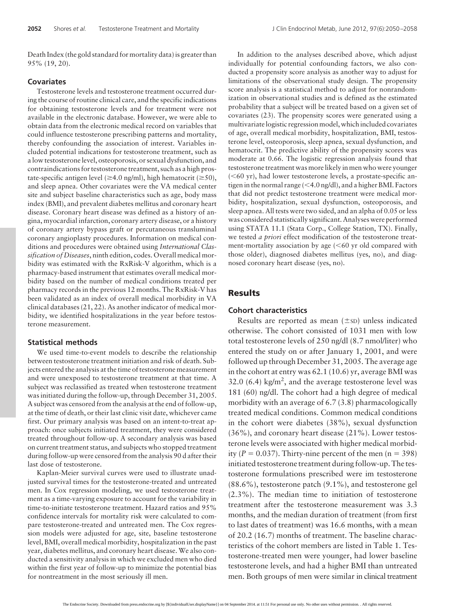Death Index (the gold standard for mortality data) is greater than 95% (19, 20).

#### **Covariates**

Testosterone levels and testosterone treatment occurred during the course of routine clinical care, and the specific indications for obtaining testosterone levels and for treatment were not available in the electronic database. However, we were able to obtain data from the electronic medical record on variables that could influence testosterone prescribing patterns and mortality, thereby confounding the association of interest. Variables included potential indications for testosterone treatment, such as a low testosterone level, osteoporosis, or sexual dysfunction, and contraindications for testosterone treatment, such as a high prostate-specific antigen level (≥4.0 ng/ml), high hematocrit (≥50), and sleep apnea. Other covariates were the VA medical center site and subject baseline characteristics such as age, body mass index (BMI), and prevalent diabetes mellitus and coronary heart disease. Coronary heart disease was defined as a history of angina, myocardial infarction, coronary artery disease, or a history of coronary artery bypass graft or percutaneous transluminal coronary angioplasty procedures. Information on medical conditions and procedures were obtained using *International Classification of Diseases*, ninth edition, codes. Overall medical morbidity was estimated with the RxRisk-V algorithm, which is a pharmacy-based instrument that estimates overall medical morbidity based on the number of medical conditions treated per pharmacy records in the previous 12 months. The RxRisk-V has been validated as an index of overall medical morbidity in VA clinical databases (21, 22). As another indicator of medical morbidity, we identified hospitalizations in the year before testosterone measurement.

#### **Statistical methods**

We used time-to-event models to describe the relationship between testosterone treatment initiation and risk of death. Subjects entered the analysis at the time of testosterone measurement and were unexposed to testosterone treatment at that time. A subject was reclassified as treated when testosterone treatment was initiated during the follow-up, through December 31, 2005. A subject was censored from the analysis at the end of follow-up, at the time of death, or their last clinic visit date, whichever came first. Our primary analysis was based on an intent-to-treat approach: once subjects initiated treatment, they were considered treated throughout follow-up. A secondary analysis was based on current treatment status, and subjects who stopped treatment during follow-up were censored from the analysis 90 d after their last dose of testosterone.

Kaplan-Meier survival curves were used to illustrate unadjusted survival times for the testosterone-treated and untreated men. In Cox regression modeling, we used testosterone treatment as a time-varying exposure to account for the variability in time-to-initiate testosterone treatment. Hazard ratios and 95% confidence intervals for mortality risk were calculated to compare testosterone-treated and untreated men. The Cox regression models were adjusted for age, site, baseline testosterone level, BMI, overall medical morbidity, hospitalization in the past year, diabetes mellitus, and coronary heart disease. We also conducted a sensitivity analysis in which we excluded men who died within the first year of follow-up to minimize the potential bias for nontreatment in the most seriously ill men.

In addition to the analyses described above, which adjust individually for potential confounding factors, we also conducted a propensity score analysis as another way to adjust for limitations of the observational study design. The propensity score analysis is a statistical method to adjust for nonrandomization in observational studies and is defined as the estimated probability that a subject will be treated based on a given set of covariates (23). The propensity scores were generated using a multivariate logistic regression model, which included covariates of age, overall medical morbidity, hospitalization, BMI, testosterone level, osteoporosis, sleep apnea, sexual dysfunction, and hematocrit. The predictive ability of the propensity scores was moderate at 0.66. The logistic regression analysis found that testosterone treatment was more likely in men who were younger  $(**60**$  yr), had lower testosterone levels, a prostate-specific antigen in the normal range (<4.0 ng/dl), and a higher BMI. Factors that did not predict testosterone treatment were medical morbidity, hospitalization, sexual dysfunction, osteoporosis, and sleep apnea. All tests were two sided, and an alpha of 0.05 or less was considered statistically significant. Analyses were performed using STATA 11.1 (Stata Corp., College Station, TX). Finally, we tested *a priori* effect modification of the testosterone treatment-mortality association by age  $(< 60$  yr old compared with those older), diagnosed diabetes mellitus (yes, no), and diagnosed coronary heart disease (yes, no).

## **Results**

#### **Cohort characteristics**

Results are reported as mean  $(\pm sD)$  unless indicated otherwise. The cohort consisted of 1031 men with low total testosterone levels of 250 ng/dl (8.7 nmol/liter) who entered the study on or after January 1, 2001, and were followed up through December 31, 2005. The average age in the cohort at entry was 62.1 (10.6) yr, average BMI was 32.0 (6.4) kg/m<sup>2</sup>, and the average testosterone level was 181 (60) ng/dl. The cohort had a high degree of medical morbidity with an average of 6.7 (3.8) pharmacologically treated medical conditions. Common medical conditions in the cohort were diabetes (38%), sexual dysfunction (36%), and coronary heart disease (21%). Lower testosterone levels were associated with higher medical morbidity ( $P = 0.037$ ). Thirty-nine percent of the men ( $n = 398$ ) initiated testosterone treatment during follow-up. The testosterone formulations prescribed were im testosterone (88.6%), testosterone patch (9.1%), and testosterone gel (2.3%). The median time to initiation of testosterone treatment after the testosterone measurement was 3.3 months, and the median duration of treatment (from first to last dates of treatment) was 16.6 months, with a mean of 20.2 (16.7) months of treatment. The baseline characteristics of the cohort members are listed in Table 1. Testosterone-treated men were younger, had lower baseline testosterone levels, and had a higher BMI than untreated men. Both groups of men were similar in clinical treatment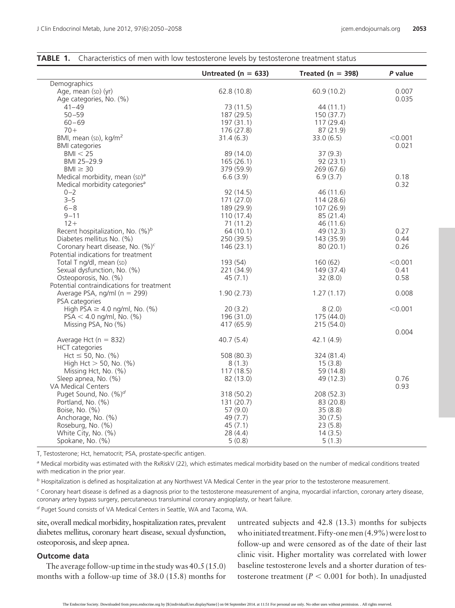|                                              | Untreated ( $n = 633$ ) | Treated ( $n = 398$ ) | $P$ value |
|----------------------------------------------|-------------------------|-----------------------|-----------|
| Demographics                                 |                         |                       |           |
| Age, mean (sp) (yr)                          | 62.8(10.8)              | 60.9 (10.2)           | 0.007     |
| Age categories, No. (%)                      |                         |                       | 0.035     |
|                                              |                         |                       |           |
| $41 - 49$                                    | 73(11.5)                | 44(11.1)              |           |
| $50 - 59$                                    | 187 (29.5)              | 150 (37.7)            |           |
| $60 - 69$                                    | 197(31.1)               | 117 (29.4)            |           |
| $70+$                                        | 176 (27.8)              | 87(21.9)              |           |
| BMI, mean (sp), kg/m <sup>2</sup>            | 31.4(6.3)               | 33.0(6.5)             | < 0.001   |
| <b>BMI</b> categories                        |                         |                       | 0.021     |
| BM < 25                                      | 89 (14.0)               | 37(9.3)               |           |
| BMI 25-29.9                                  | 165(26.1)               | 92(23.1)              |           |
| $BM \geq 30$                                 | 379 (59.9)              | 269(67.6)             |           |
| Medical morbidity, mean (sp) <sup>a</sup>    | 6.6(3.9)                | 6.9(3.7)              | 0.18      |
| Medical morbidity categories <sup>a</sup>    |                         |                       | 0.32      |
| $0 - 2$                                      | 92(14.5)                | 46(11.6)              |           |
| $3 - 5$                                      | 171(27.0)               | 114(28.6)             |           |
| $6 - 8$                                      | 189 (29.9)              | 107(26.9)             |           |
| $9 - 11$                                     | 110(17.4)               | 85(21.4)              |           |
| $12 +$                                       | 71 (11.2)               | 46 (11.6)             |           |
| Recent hospitalization, No. $(\%)^b$         | 64 (10.1)               | 49 (12.3)             | 0.27      |
| Diabetes mellitus No. (%)                    | 250 (39.5)              | 143 (35.9)            | 0.44      |
| Coronary heart disease, No. (%) <sup>c</sup> | 146(23.1)               | 80(20.1)              | 0.26      |
| Potential indications for treatment          |                         |                       |           |
| Total T ng/dl, mean (sD)                     | 193 (54)                | 160(62)               | < 0.001   |
|                                              |                         |                       |           |
| Sexual dysfunction, No. (%)                  | 221 (34.9)              | 149 (37.4)            | 0.41      |
| Osteoporosis, No. (%)                        | 45(7.1)                 | 32(8.0)               | 0.58      |
| Potential contraindications for treatment    |                         |                       |           |
| Average PSA, ng/ml $(n = 299)$               | 1.90(2.73)              | 1.27(1.17)            | 0.008     |
| PSA categories                               |                         |                       |           |
| High PSA $\geq$ 4.0 ng/ml, No. (%)           | 20(3.2)                 | 8(2.0)                | < 0.001   |
| $PSA < 4.0$ ng/ml, No. (%)                   | 196 (31.0)              | 175 (44.0)            |           |
| Missing PSA, No (%)                          | 417 (65.9)              | 215(54.0)             |           |
|                                              |                         |                       | 0.004     |
| Average Hct ( $n = 832$ )                    | 40.7(5.4)               | 42.1(4.9)             |           |
| <b>HCT</b> categories                        |                         |                       |           |
| $Hct \le 50$ , No. (%)                       | 508 (80.3)              | 324 (81.4)            |           |
| High Hct $>$ 50, No. (%)                     | 8(1.3)                  | 15(3.8)               |           |
| Missing Hct, No. (%)                         | 117(18.5)               | 59 (14.8)             |           |
| Sleep apnea, No. (%)                         | 82 (13.0)               | 49 (12.3)             | 0.76      |
| VA Medical Centers                           |                         |                       | 0.93      |
| Puget Sound, No. (%) <sup>d</sup>            | 318 (50.2)              | 208 (52.3)            |           |
| Portland, No. (%)                            | 131(20.7)               | 83 (20.8)             |           |
| Boise, No. (%)                               | 57 $(9.0)$              | 35(8.8)               |           |
| Anchorage, No. (%)                           | 49 (7.7)                | 30(7.5)               |           |
| Roseburg, No. (%)                            | 45(7.1)                 | 23(5.8)               |           |
| White City, No. (%)                          | 28(4.4)                 | 14(3.5)               |           |
| Spokane, No. (%)                             |                         |                       |           |
|                                              | 5(0.8)                  | 5(1.3)                |           |

#### **TABLE 1.** Characteristics of men with low testosterone levels by testosterone treatment status

T, Testosterone; Hct, hematocrit; PSA, prostate-specific antigen.

*<sup>a</sup>* Medical morbidity was estimated with the RxRiskV (22), which estimates medical morbidity based on the number of medical conditions treated with medication in the prior year.

*<sup>b</sup>* Hospitalization is defined as hospitalization at any Northwest VA Medical Center in the year prior to the testosterone measurement.

*<sup>c</sup>* Coronary heart disease is defined as a diagnosis prior to the testosterone measurement of angina, myocardial infarction, coronary artery disease, coronary artery bypass surgery, percutaneous transluminal coronary angioplasty, or heart failure.

*<sup>d</sup>* Puget Sound consists of VA Medical Centers in Seattle, WA and Tacoma, WA.

site, overall medical morbidity, hospitalization rates, prevalent diabetes mellitus, coronary heart disease, sexual dysfunction, osteoporosis, and sleep apnea.

# **Outcome data**

The average follow-up time in the study was 40.5 (15.0) months with a follow-up time of 38.0 (15.8) months for

untreated subjects and 42.8 (13.3) months for subjects who initiated treatment. Fifty-one men (4.9%) were lost to follow-up and were censored as of the date of their last clinic visit. Higher mortality was correlated with lower baseline testosterone levels and a shorter duration of testosterone treatment ( $P < 0.001$  for both). In unadjusted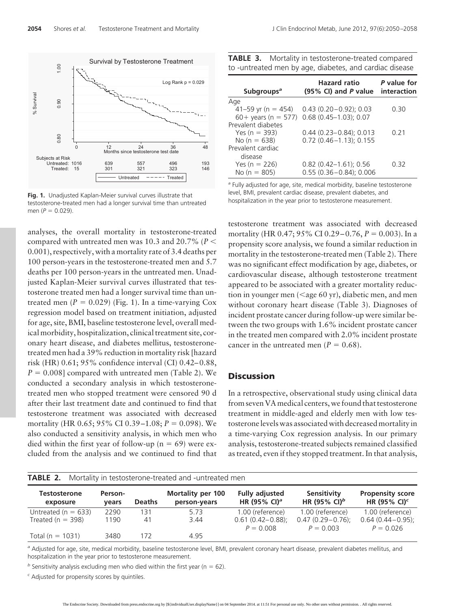

**Fig. 1.** Unadjusted Kaplan-Meier survival curves illustrate that testosterone-treated men had a longer survival time than untreated men ( $P = 0.029$ ).

analyses, the overall mortality in testosterone-treated compared with untreated men was 10.3 and 20.7% (*P* 0.001), respectively, with a mortality rate of 3.4 deaths per 100 person-years in the testosterone-treated men and 5.7 deaths per 100 person-years in the untreated men. Unadjusted Kaplan-Meier survival curves illustrated that testosterone treated men had a longer survival time than untreated men  $(P = 0.029)$  (Fig. 1). In a time-varying Cox regression model based on treatment initiation, adjusted for age, site, BMI, baseline testosterone level, overall medical morbidity, hospitalization, clinical treatment site, coronary heart disease, and diabetes mellitus, testosteronetreated men had a 39% reduction in mortality risk [hazard risk (HR) 0.61; 95% confidence interval (CI) 0.42– 0.88,  $P = 0.008$ ] compared with untreated men (Table 2). We conducted a secondary analysis in which testosteronetreated men who stopped treatment were censored 90 d after their last treatment date and continued to find that testosterone treatment was associated with decreased mortality (HR 0.65; 95% CI 0.39–1.08; *P* = 0.098). We also conducted a sensitivity analysis, in which men who died within the first year of follow-up ( $n = 69$ ) were excluded from the analysis and we continued to find that

| TABLE 3. Mortality in testosterone-treated compared     |  |
|---------------------------------------------------------|--|
| to -untreated men by age, diabetes, and cardiac disease |  |

| Subgroups <sup>a</sup> | <b>Hazard</b> ratio<br>$(95\% \text{ Cl})$ and P value | P value for<br>interaction |
|------------------------|--------------------------------------------------------|----------------------------|
| Age                    |                                                        |                            |
| 41–59 yr (n = 454)     | $0.43(0.20 - 0.92); 0.03$                              | O 30                       |
| $60+$ years (n = 577)  | $0.68(0.45 - 1.03); 0.07$                              |                            |
| Prevalent diabetes     |                                                        |                            |
| Yes $(n = 393)$        | $0.44(0.23 - 0.84)$ ; 0.013                            | 0.21                       |
| No ( $n = 638$ )       | $0.72(0.46 - 1.13)$ ; 0.155                            |                            |
| Prevalent cardiac      |                                                        |                            |
| disease                |                                                        |                            |
| Yes ( $n = 226$ )      | $0.82$ (0.42-1.61); 0.56                               | 0 32                       |
| No $(n = 805)$         | $0.55(0.36 - 0.84)$ ; 0.006                            |                            |

*<sup>a</sup>* Fully adjusted for age, site, medical morbidity, baseline testosterone level, BMI, prevalent cardiac disease, prevalent diabetes, and hospitalization in the year prior to testosterone measurement.

testosterone treatment was associated with decreased mortality (HR 0.47; 95% CI 0.29–0.76, *P* = 0.003). In a propensity score analysis, we found a similar reduction in mortality in the testosterone-treated men (Table 2). There was no significant effect modification by age, diabetes, or cardiovascular disease, although testosterone treatment appeared to be associated with a greater mortality reduction in younger men  $(<$ age 60 yr), diabetic men, and men without coronary heart disease (Table 3). Diagnoses of incident prostate cancer during follow-up were similar between the two groups with 1.6% incident prostate cancer in the treated men compared with 2.0% incident prostate cancer in the untreated men  $(P = 0.68)$ .

# **Discussion**

In a retrospective, observational study using clinical data from seven VA medical centers, we found that testosterone treatment in middle-aged and elderly men with low testosterone levels was associated with decreased mortality in a time-varying Cox regression analysis. In our primary analysis, testosterone-treated subjects remained classified as treated, even if they stopped treatment. In that analysis,

| <b>TABLE 2.</b> Mortality in testosterone-treated and -untreated men |         |               |                          |                          |                          |                         |  |  |
|----------------------------------------------------------------------|---------|---------------|--------------------------|--------------------------|--------------------------|-------------------------|--|--|
| <b>Testosterone</b>                                                  | Person- | <b>Deaths</b> | <b>Mortality per 100</b> | <b>Fully adjusted</b>    | Sensitivity              | <b>Propensity score</b> |  |  |
| exposure                                                             | vears   |               | person-years             | HR (95% CI) <sup>a</sup> | HR (95% CI) <sup>b</sup> | HR (95% CI) $c$         |  |  |
| Untreated ( $n = 633$ )                                              | 2290    | 131           | 5.73                     | 1.00 (reference)         | 1.00 (reference)         | 1.00 (reference)        |  |  |
| Treated ( $n = 398$ )                                                | 1190    | 41            | 3.44                     | $0.61(0.42 - 0.88)$ ;    | $0.47(0.29 - 0.76)$ ;    | $0.64(0.44 - 0.95)$ ;   |  |  |
| Total ( $n = 1031$ )                                                 | 3480    | 172           | 4.95                     | $P = 0.008$              | $P = 0.003$              | $P = 0.026$             |  |  |

*<sup>a</sup>* Adjusted for age, site, medical morbidity, baseline testosterone level, BMI, prevalent coronary heart disease, prevalent diabetes mellitus, and hospitalization in the year prior to testosterone measurement.

 $<sup>b</sup>$  Sensitivity analysis excluding men who died within the first year (n = 62).</sup>

*<sup>c</sup>* Adjusted for propensity scores by quintiles.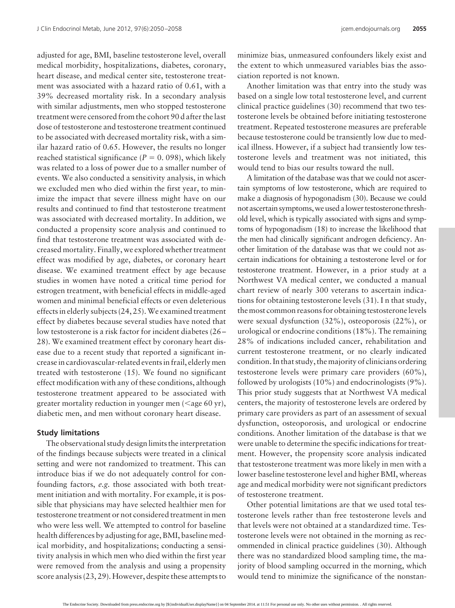adjusted for age, BMI, baseline testosterone level, overall medical morbidity, hospitalizations, diabetes, coronary, heart disease, and medical center site, testosterone treatment was associated with a hazard ratio of 0.61, with a 39% decreased mortality risk. In a secondary analysis with similar adjustments, men who stopped testosterone treatment were censored from the cohort 90 d after the last dose of testosterone and testosterone treatment continued to be associated with decreased mortality risk, with a similar hazard ratio of 0.65. However, the results no longer reached statistical significance ( $P = 0$ . 098), which likely was related to a loss of power due to a smaller number of events. We also conducted a sensitivity analysis, in which we excluded men who died within the first year, to minimize the impact that severe illness might have on our results and continued to find that testosterone treatment was associated with decreased mortality. In addition, we conducted a propensity score analysis and continued to find that testosterone treatment was associated with decreased mortality. Finally, we explored whether treatment effect was modified by age, diabetes, or coronary heart disease. We examined treatment effect by age because studies in women have noted a critical time period for estrogen treatment, with beneficial effects in middle-aged women and minimal beneficial effects or even deleterious effects in elderly subjects (24, 25).We examined treatment effect by diabetes because several studies have noted that low testosterone is a risk factor for incident diabetes (26 – 28). We examined treatment effect by coronary heart disease due to a recent study that reported a significant increase in cardiovascular-related events in frail, elderly men treated with testosterone (15). We found no significant effect modification with any of these conditions, although testosterone treatment appeared to be associated with greater mortality reduction in younger men  $(<$ age 60 yr), diabetic men, and men without coronary heart disease.

#### **Study limitations**

The observational study design limits the interpretation of the findings because subjects were treated in a clinical setting and were not randomized to treatment. This can introduce bias if we do not adequately control for confounding factors, *e.g.* those associated with both treatment initiation and with mortality. For example, it is possible that physicians may have selected healthier men for testosterone treatment or not considered treatment in men who were less well. We attempted to control for baseline health differences by adjusting for age, BMI, baseline medical morbidity, and hospitalizations; conducting a sensitivity analysis in which men who died within the first year were removed from the analysis and using a propensity score analysis (23, 29). However, despite these attempts to

minimize bias, unmeasured confounders likely exist and the extent to which unmeasured variables bias the association reported is not known.

Another limitation was that entry into the study was based on a single low total testosterone level, and current clinical practice guidelines (30) recommend that two testosterone levels be obtained before initiating testosterone treatment. Repeated testosterone measures are preferable because testosterone could be transiently low due to medical illness. However, if a subject had transiently low testosterone levels and treatment was not initiated, this would tend to bias our results toward the null.

A limitation of the database was that we could not ascertain symptoms of low testosterone, which are required to make a diagnosis of hypogonadism (30). Because we could not ascertain symptoms, we used a lower testosterone threshold level, which is typically associated with signs and symptoms of hypogonadism (18) to increase the likelihood that the men had clinically significant androgen deficiency. Another limitation of the database was that we could not ascertain indications for obtaining a testosterone level or for testosterone treatment. However, in a prior study at a Northwest VA medical center, we conducted a manual chart review of nearly 300 veterans to ascertain indications for obtaining testosterone levels (31). I n that study, the most common reasons for obtaining testosterone levels were sexual dysfunction (32%), osteoporosis (22%), or urological or endocrine conditions (18%). The remaining 28% of indications included cancer, rehabilitation and current testosterone treatment, or no clearly indicated condition. In that study, the majority of clinicians ordering testosterone levels were primary care providers (60%), followed by urologists (10%) and endocrinologists (9%). This prior study suggests that at Northwest VA medical centers, the majority of testosterone levels are ordered by primary care providers as part of an assessment of sexual dysfunction, osteoporosis, and urological or endocrine conditions. Another limitation of the database is that we were unable to determine the specific indications for treatment. However, the propensity score analysis indicated that testosterone treatment was more likely in men with a lower baseline testosterone level and higher BMI, whereas age and medical morbidity were not significant predictors of testosterone treatment.

Other potential limitations are that we used total testosterone levels rather than free testosterone levels and that levels were not obtained at a standardized time. Testosterone levels were not obtained in the morning as recommended in clinical practice guidelines (30). Although there was no standardized blood sampling time, the majority of blood sampling occurred in the morning, which would tend to minimize the significance of the nonstan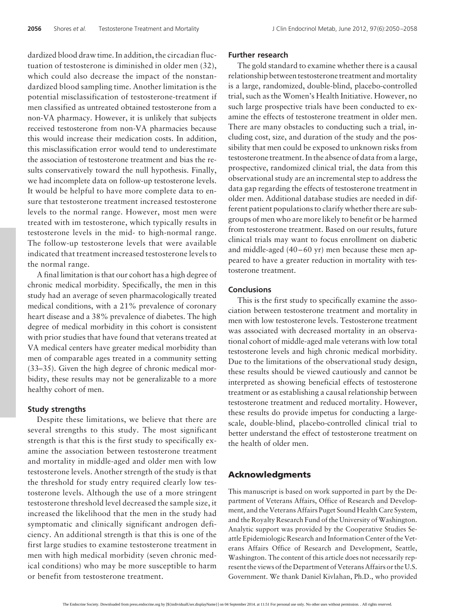dardized blood draw time. In addition, the circadian fluctuation of testosterone is diminished in older men (32), which could also decrease the impact of the nonstandardized blood sampling time. Another limitation is the potential misclassification of testosterone-treatment if men classified as untreated obtained testosterone from a non-VA pharmacy. However, it is unlikely that subjects received testosterone from non-VA pharmacies because this would increase their medication costs. In addition, this misclassification error would tend to underestimate the association of testosterone treatment and bias the results conservatively toward the null hypothesis. Finally, we had incomplete data on follow-up testosterone levels. It would be helpful to have more complete data to ensure that testosterone treatment increased testosterone levels to the normal range. However, most men were treated with im testosterone, which typically results in testosterone levels in the mid- to high-normal range. The follow-up testosterone levels that were available indicated that treatment increased testosterone levels to the normal range.

A final limitation is that our cohort has a high degree of chronic medical morbidity. Specifically, the men in this study had an average of seven pharmacologically treated medical conditions, with a 21% prevalence of coronary heart disease and a 38% prevalence of diabetes. The high degree of medical morbidity in this cohort is consistent with prior studies that have found that veterans treated at VA medical centers have greater medical morbidity than men of comparable ages treated in a community setting (33–35). Given the high degree of chronic medical morbidity, these results may not be generalizable to a more healthy cohort of men.

#### **Study strengths**

Despite these limitations, we believe that there are several strengths to this study. The most significant strength is that this is the first study to specifically examine the association between testosterone treatment and mortality in middle-aged and older men with low testosterone levels. Another strength of the study is that the threshold for study entry required clearly low testosterone levels. Although the use of a more stringent testosterone threshold level decreased the sample size, it increased the likelihood that the men in the study had symptomatic and clinically significant androgen deficiency. An additional strength is that this is one of the first large studies to examine testosterone treatment in men with high medical morbidity (seven chronic medical conditions) who may be more susceptible to harm or benefit from testosterone treatment.

# **Further research**

The gold standard to examine whether there is a causal relationship between testosterone treatment and mortality is a large, randomized, double-blind, placebo-controlled trial, such as the Women's Health Initiative. However, no such large prospective trials have been conducted to examine the effects of testosterone treatment in older men. There are many obstacles to conducting such a trial, including cost, size, and duration of the study and the possibility that men could be exposed to unknown risks from testosterone treatment. In the absence of data from a large, prospective, randomized clinical trial, the data from this observational study are an incremental step to address the data gap regarding the effects of testosterone treatment in older men. Additional database studies are needed in different patient populations to clarify whether there are subgroups of men who are more likely to benefit or be harmed from testosterone treatment. Based on our results, future clinical trials may want to focus enrollment on diabetic and middle-aged  $(40 - 60 \text{ yr})$  men because these men appeared to have a greater reduction in mortality with testosterone treatment.

## **Conclusions**

This is the first study to specifically examine the association between testosterone treatment and mortality in men with low testosterone levels. Testosterone treatment was associated with decreased mortality in an observational cohort of middle-aged male veterans with low total testosterone levels and high chronic medical morbidity. Due to the limitations of the observational study design, these results should be viewed cautiously and cannot be interpreted as showing beneficial effects of testosterone treatment or as establishing a causal relationship between testosterone treatment and reduced mortality. However, these results do provide impetus for conducting a largescale, double-blind, placebo-controlled clinical trial to better understand the effect of testosterone treatment on the health of older men.

# **Acknowledgments**

This manuscript is based on work supported in part by the Department of Veterans Affairs, Office of Research and Development, and the Veterans Affairs Puget Sound Health Care System, and the Royalty Research Fund of the University of Washington. Analytic support was provided by the Cooperative Studies Seattle Epidemiologic Research and Information Center of the Veterans Affairs Office of Research and Development, Seattle, Washington. The content of this article does not necessarily represent the views of the Department of Veterans Affairs or the U.S. Government. We thank Daniel Kivlahan, Ph.D., who provided

The Endocrine Society. Downloaded from press.endocrine.org by [\${individualUser.displayName}] on 04 September 2014. at 11:51 For personal use only. No other uses without permission. . All rights reserved.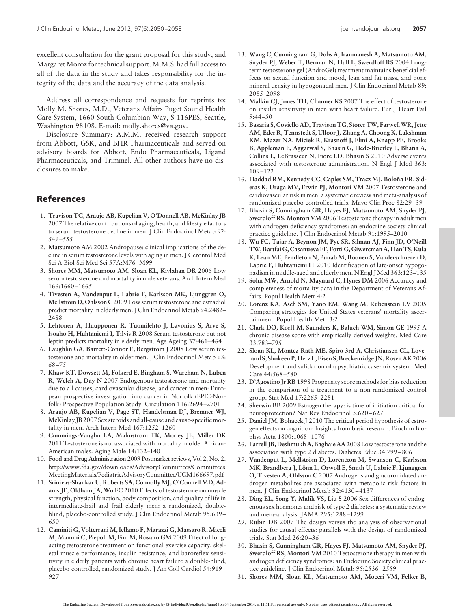excellent consultation for the grant proposal for this study, and Margaret Moroz for technical support. M.M.S. had full access to all of the data in the study and takes responsibility for the integrity of the data and the accuracy of the data analysis.

Address all correspondence and requests for reprints to: Molly M. Shores, M.D., Veterans Affairs Puget Sound Health Care System, 1660 South Columbian Way, S-116PES, Seattle, Washington 98108. E-mail: molly.shores@va.gov.

Disclosure Summary: A.M.M. received research support from Abbott, GSK, and BHR Pharmaceuticals and served on advisory boards for Abbott, Endo Pharmaceuticals, Ligand Pharmaceuticals, and Trimmel. All other authors have no disclosures to make.

# **References**

- 1. **Travison TG, Araujo AB, Kupelian V, O'Donnell AB, McKinlay JB** 2007 The relative contributions of aging, health, and lifestyle factors to serum testosterone decline in men. J Clin Endocrinol Metab 92: 549 –555
- 2. **Matsumoto AM** 2002 Andropause: clinical implications of the decline in serum testosterone levels with aging in men. J Gerontol Med Sci A Biol Sci Med Sci 57A:M76 –M99
- 3. **Shores MM, Matsumoto AM, Sloan KL, Kivlahan DR** 2006 Low serum testosterone and mortality in male veterans. Arch Intern Med 166:1660 –1665
- 4. **Tivesten A, Vandenput L, Labrie F, Karlsson MK, Ljunggren O, Mellström D, Ohlsson C** 2009 Low serum testosterone and estradiol predict mortality in elderly men. J Clin Endocrinol Metab 94:2482– 2488
- 5. **Lehtonen A, Huupponen R, Tuomilehto J, Lavonius S, Arve S, Isoaho H, Huhtaniemi I, Tilvis R** 2008 Serum testosterone but not leptin predicts mortality in elderly men. Age Ageing 37:461-464
- 6. **Laughlin GA, Barrett-Connor E, Bergstrom J** 2008 Low serum testosterone and mortality in older men. J Clin Endocrinol Metab 93: 68 –75
- 7. **Khaw KT, Dowsett M, Folkerd E, Bingham S, Wareham N, Luben R, Welch A, Day N** 2007 Endogenous testosterone and mortality due to all causes, cardiovascular disease, and cancer in men: European prospective investigation into cancer in Norfolk (EPIC-Norfolk) Prospective Population Study. Circulation 116:2694 –2701
- 8. **Araujo AB, Kupelian V, Page ST, Handelsman DJ, Bremner WJ, McKinlay JB**2007 Sex steroids and all-cause and cause-specific mortality in men. Arch Intern Med 167:1252–1260
- 9. **Cummings-Vaughn LA, Malmstrom TK, Morley JE, Miller DK** 2011 Testosterone is not associated with mortality in older African-American males. Aging Male 14:132–140
- 10. **Food and Drug Administration** 2009 Postmarket reviews, Vol 2, No. 2. [http://www.fda.gov/downloads/AdvisoryCommittees/Committees](http://www.fda.gov/downloads/AdvisoryCommittees/CommitteesMeetingMaterials/PediatricAdvisoryCommittee/UCM166697.pdf) [MeetingMaterials/PediatricAdvisoryCommittee/UCM166697.pdf](http://www.fda.gov/downloads/AdvisoryCommittees/CommitteesMeetingMaterials/PediatricAdvisoryCommittee/UCM166697.pdf)
- 11. **Srinivas-Shankar U, Roberts SA, Connolly MJ, O'Connell MD, Adams JE, Oldham JA, Wu FC** 2010 Effects of testosterone on muscle strength, physical function, body composition, and quality of life in intermediate-frail and frail elderly men: a randomized, doubleblind, placebo-controlled study. J Clin Endocrinol Metab 95:639 – 650
- 12. **Caminiti G, Volterrani M, Iellamo F, Marazzi G, Massaro R, Miceli M, Mammi C, Piepoli M, Fini M, Rosano GM** 2009 Effect of longacting testosterone treatment on functional exercise capacity, skeletal muscle performance, insulin resistance, and baroreflex sensitivity in elderly patients with chronic heart failure a double-blind, placebo-controlled, randomized study. J Am Coll Cardiol 54:919 – 927
- 13. **Wang C, Cunningham G, Dobs A, Iranmanesh A, Matsumoto AM, Snyder PJ, Weber T, Berman N, Hull L, Swerdloff RS** 2004 Longterm testosterone gel (AndroGel) treatment maintains beneficial effects on sexual function and mood, lean and fat mass, and bone mineral density in hypogonadal men. J Clin Endocrinol Metab 89: 2085–2098
- 14. **Malkin CJ, Jones TH, Channer KS** 2007 The effect of testosterone on insulin sensitivity in men with heart failure. Eur J Heart Fail  $9:44 - 50$
- 15. **Basaria S, Coviello AD, Travison TG, Storer TW, FarwellWR, Jette AM, Eder R, Tennstedt S, Ulloor J, Zhang A, Choong K, Lakshman KM, Mazer NA, Miciek R, Krasnoff J, Elmi A, Knapp PE, Brooks B, Appleman E, Aggarwal S, Bhasin G, Hede-Brierley L, Bhatia A, Collins L, LeBrasseur N, Fiore LD, Bhasin S** 2010 Adverse events associated with testosterone administration. N Engl J Med 363: 109 –122
- 16. Haddad RM, Kennedy CC, Caples SM, Tracz MJ, Boloña ER, Sid**eras K, Uraga MV, Erwin PJ, Montori VM** 2007 Testosterone and cardiovascular risk in men: a systematic review and meta-analysis of randomized placebo-controlled trials. Mayo Clin Proc 82:29 –39
- 17. **Bhasin S, Cunningham GR, Hayes FJ, Matsumoto AM, Snyder PJ, Swerdloff RS, Montori VM** 2006 Testosterone therapy in adult men with androgen deficiency syndromes: an endocrine society clinical practice guideline. J Clin Endocrinol Metab 91:1995–2010
- 18. **Wu FC, Tajar A, Beynon JM, Pye SR, Silman AJ, Finn JD, O'Neill TW, Bartfai G, Casanueva FF, Forti G, Giwercman A, Han TS, Kula K, Lean ME, Pendleton N, Punab M, Boonen S, Vanderschueren D, Labrie F, Huhtaniemi IT** 2010 Identification of late-onset hypogonadism in middle-aged and elderly men. N Engl J Med 363:123–135
- 19. **Sohn MW, Arnold N, Maynard C, Hynes DM** 2006 Accuracy and completeness of mortality data in the Department of Veterans Affairs. Popul Health Metr 4:2
- 20. **Lorenz KA, Asch SM, Yano EM, Wang M, Rubenstein LV** 2005 Comparing strategies for United States veterans' mortality ascertainment. Popul Health Metr 3:2
- 21. **Clark DO, Korff M, Saunders K, Baluch WM, Simon GE** 1995 A chronic disease score with empirically derived weights. Med Care 33:783–795
- 22. **Sloan KL, Montez-Rath ME, Spiro 3rd A, Christiansen CL, Loveland S, Shokeen P, Herz L, Eisen S, Breckenridge JN, Rosen AK** 2006 Development and validation of a psychiatric case-mix system. Med Care 44:568 –580
- 23. **D'Agostino Jr RB** 1998 Propensity score methods for bias reduction in the comparison of a treatment to a non-randomized control group. Stat Med 17:2265–2281
- 24. **Sherwin BB** 2009 Estrogen therapy: is time of initiation critical for neuroprotection? Nat Rev Endocrinol 5:620 – 627
- 25. **Daniel JM, Bohacek J** 2010 The critical period hypothesis of estrogen effects on cognition: Insights from basic research. Biochim Biophys Acta 1800:1068 –1076
- 26. **Farrell JB, Deshmukh A, Baghaie AA** 2008 Low testosterone and the association with type 2 diabetes. Diabetes Educ 34:799 – 806
- 27. Vandenput L, Mellström D, Lorentzon M, Swanson C, Karlsson **MK, Brandberg J, Lo¨ nn L, Orwoll E, Smith U, Labrie F, Ljunggren O, Tivesten A, Ohlsson C** 2007 Androgens and glucuronidated androgen metabolites are associated with metabolic risk factors in men. J Clin Endocrinol Metab 92:4130 – 4137
- 28. **Ding EL, Song Y, Malik VS, Liu S** 2006 Sex differences of endogenous sex hormones and risk of type 2 diabetes: a systematic review and meta-analysis. JAMA 295:1288 –1299
- 29. **Rubin DB** 2007 The design versus the analysis of observational studies for causal effects: parallels with the design of randomized trials. Stat Med 26:20 –36
- 30. **Bhasin S, Cunningham GR, Hayes FJ, Matsumoto AM, Snyder PJ, Swerdloff RS, Montori VM** 2010 Testosterone therapy in men with androgen deficiency syndromes: an Endocrine Society clinical practice guideline. J Clin Endocrinol Metab 95:2536 –2559
- 31. **Shores MM, Sloan KL, Matsumoto AM, Moceri VM, Felker B,**